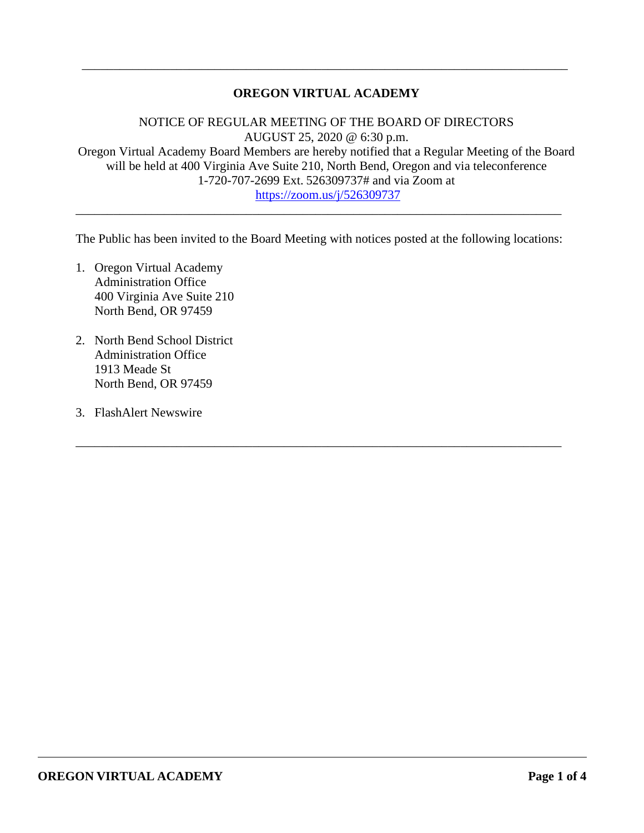# **OREGON VIRTUAL ACADEMY**

\_\_\_\_\_\_\_\_\_\_\_\_\_\_\_\_\_\_\_\_\_\_\_\_\_\_\_\_\_\_\_\_\_\_\_\_\_\_\_\_\_\_\_\_\_\_\_\_\_\_\_\_\_\_\_\_\_\_\_\_\_\_\_\_\_\_\_\_\_\_\_\_\_\_\_\_\_

NOTICE OF REGULAR MEETING OF THE BOARD OF DIRECTORS AUGUST 25, 2020 @ 6:30 p.m. Oregon Virtual Academy Board Members are hereby notified that a Regular Meeting of the Board will be held at 400 Virginia Ave Suite 210, North Bend, Oregon and via teleconference 1-720-707-2699 Ext. 526309737# and via Zoom at <https://zoom.us/j/526309737>

The Public has been invited to the Board Meeting with notices posted at the following locations:

\_\_\_\_\_\_\_\_\_\_\_\_\_\_\_\_\_\_\_\_\_\_\_\_\_\_\_\_\_\_\_\_\_\_\_\_\_\_\_\_\_\_\_\_\_\_\_\_\_\_\_\_\_\_\_\_\_\_\_\_\_\_\_\_\_\_\_\_\_\_\_\_\_\_\_\_\_

\_\_\_\_\_\_\_\_\_\_\_\_\_\_\_\_\_\_\_\_\_\_\_\_\_\_\_\_\_\_\_\_\_\_\_\_\_\_\_\_\_\_\_\_\_\_\_\_\_\_\_\_\_\_\_\_\_\_\_\_\_\_\_\_\_\_\_\_\_\_\_\_\_\_\_\_\_

- 1. Oregon Virtual Academy Administration Office 400 Virginia Ave Suite 210 North Bend, OR 97459
- 2. North Bend School District Administration Office 1913 Meade St North Bend, OR 97459
- 3. FlashAlert Newswire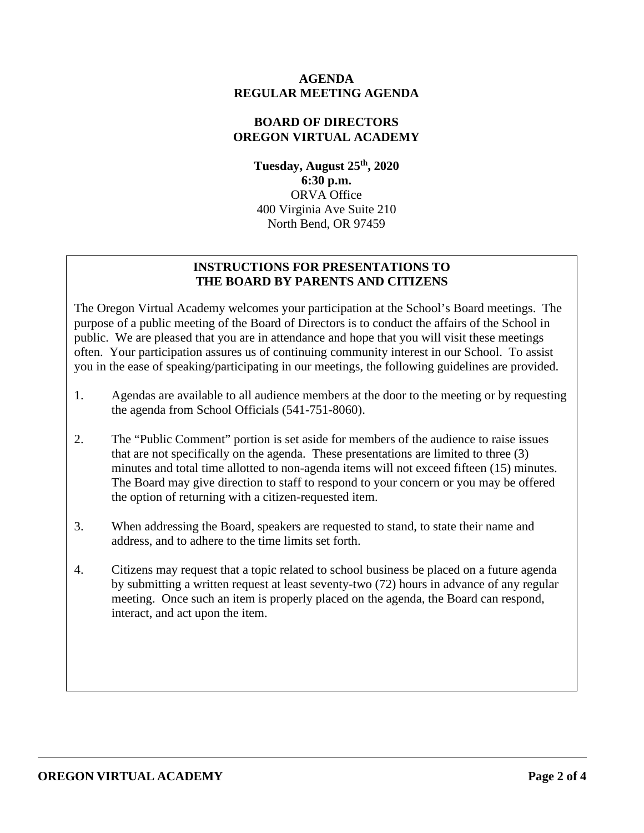## **AGENDA REGULAR MEETING AGENDA**

# **BOARD OF DIRECTORS OREGON VIRTUAL ACADEMY**

**Tuesday, August 25th, 2020 6:30 p.m.** ORVA Office 400 Virginia Ave Suite 210 North Bend, OR 97459

# **INSTRUCTIONS FOR PRESENTATIONS TO THE BOARD BY PARENTS AND CITIZENS**

The Oregon Virtual Academy welcomes your participation at the School's Board meetings. The purpose of a public meeting of the Board of Directors is to conduct the affairs of the School in public. We are pleased that you are in attendance and hope that you will visit these meetings often. Your participation assures us of continuing community interest in our School. To assist you in the ease of speaking/participating in our meetings, the following guidelines are provided.

- 1. Agendas are available to all audience members at the door to the meeting or by requesting the agenda from School Officials (541-751-8060).
- 2. The "Public Comment" portion is set aside for members of the audience to raise issues that are not specifically on the agenda. These presentations are limited to three (3) minutes and total time allotted to non-agenda items will not exceed fifteen (15) minutes. The Board may give direction to staff to respond to your concern or you may be offered the option of returning with a citizen-requested item.
- 3. When addressing the Board, speakers are requested to stand, to state their name and address, and to adhere to the time limits set forth.
- 4. Citizens may request that a topic related to school business be placed on a future agenda by submitting a written request at least seventy-two (72) hours in advance of any regular meeting. Once such an item is properly placed on the agenda, the Board can respond, interact, and act upon the item.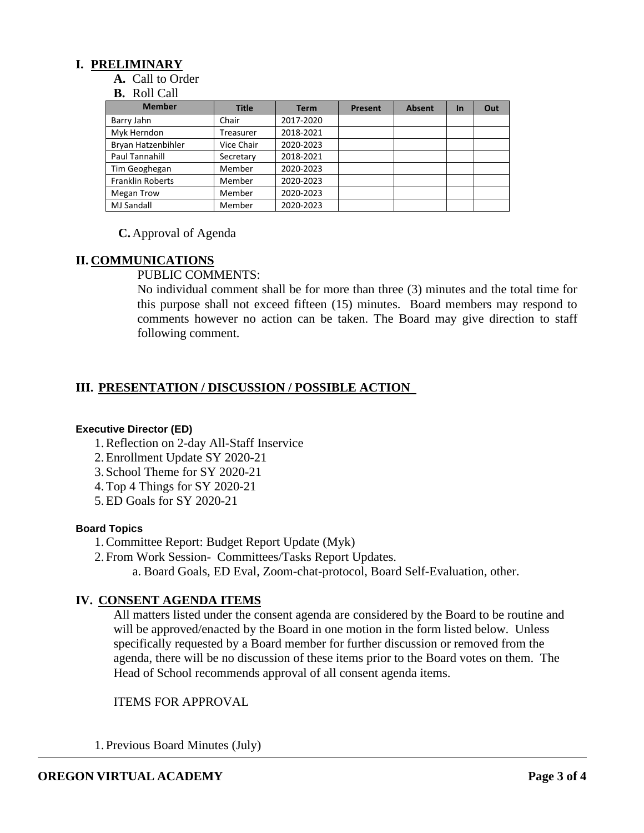## **I. PRELIMINARY**

**A.** Call to Order

#### **B.** Roll Call

| <b>Member</b>           | <b>Title</b> | <b>Term</b> | Present | <b>Absent</b> | <b>In</b> | Out |
|-------------------------|--------------|-------------|---------|---------------|-----------|-----|
| Barry Jahn              | Chair        | 2017-2020   |         |               |           |     |
| Myk Herndon             | Treasurer    | 2018-2021   |         |               |           |     |
| Bryan Hatzenbihler      | Vice Chair   | 2020-2023   |         |               |           |     |
| Paul Tannahill          | Secretary    | 2018-2021   |         |               |           |     |
| Tim Geoghegan           | Member       | 2020-2023   |         |               |           |     |
| <b>Franklin Roberts</b> | Member       | 2020-2023   |         |               |           |     |
| <b>Megan Trow</b>       | Member       | 2020-2023   |         |               |           |     |
| <b>MJ Sandall</b>       | Member       | 2020-2023   |         |               |           |     |

### **C.** Approval of Agenda

## **II. COMMUNICATIONS**

PUBLIC COMMENTS:

No individual comment shall be for more than three (3) minutes and the total time for this purpose shall not exceed fifteen (15) minutes. Board members may respond to comments however no action can be taken. The Board may give direction to staff following comment.

## **III. PRESENTATION / DISCUSSION / POSSIBLE ACTION**

#### **Executive Director (ED)**

- 1.Reflection on 2-day All-Staff Inservice
- 2.Enrollment Update SY 2020-21
- 3. School Theme for SY 2020-21
- 4.Top 4 Things for SY 2020-21
- 5.ED Goals for SY 2020-21

#### **Board Topics**

1.Committee Report: Budget Report Update (Myk)

2. From Work Session- [Committees/Tasks](https://docs.google.com/document/d/1tVrSGJ6v5gCtv5NNlIoGCFS6zIGPmcuhm6aP9laESig/edit) Report Updates.

a. Board Goals, ED Eval, Zoom-chat-protocol, Board Self-Evaluation, other.

## **IV. CONSENT AGENDA ITEMS**

All matters listed under the consent agenda are considered by the Board to be routine and will be approved/enacted by the Board in one motion in the form listed below. Unless specifically requested by a Board member for further discussion or removed from the agenda, there will be no discussion of these items prior to the Board votes on them. The Head of School recommends approval of all consent agenda items.

### ITEMS FOR APPROVAL

1. Previous Board Minutes (July)